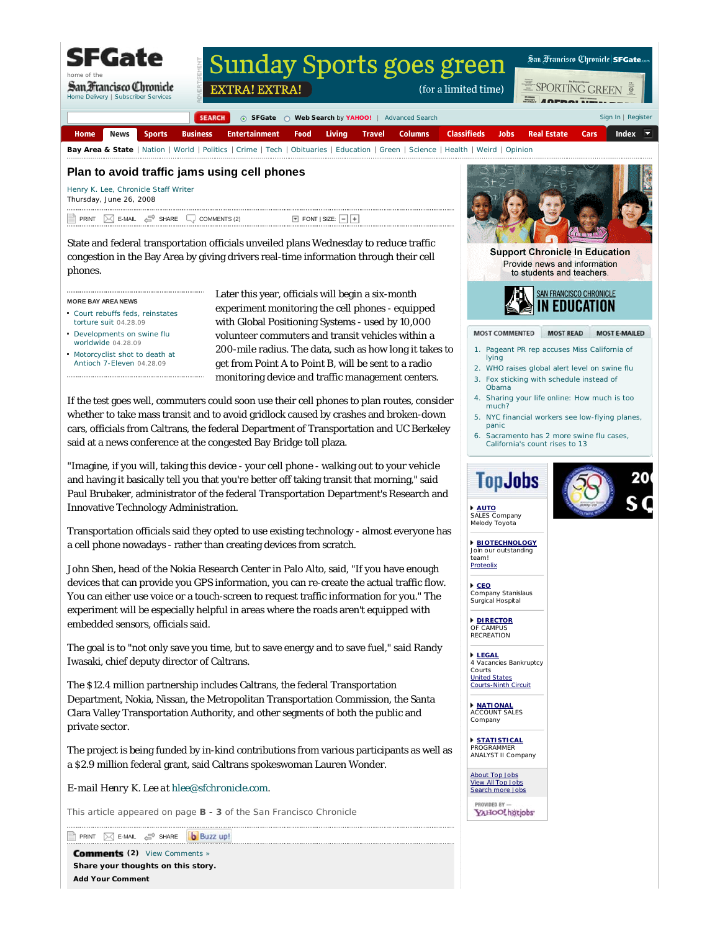SFGate

home of the

San Francisco Chronicle Home Delivery | Subscriber Services

## **Sunday Sports goes green**

EXTRA! EXTRA!

San Francisco Chronicle SFGate

SPORTING GREEN

(for a limited time)

 $\mathbb{R}$  Annaum. Sign In | Register

**SEARCH @** SFGate **@** Web Search by YAHOO! | Advanced Search News **Sports Business Entertainment** Food Living **Travel Columns Classifieds** Jobs **Real Estate** Cars Index Home Bay Area & State | Nation | World | Politics | Crime | Tech | Obituaries | Education | Green | Science | Health | Weird | Opinion

## **Plan to avoid traffic jams using cell phones**

Henry K. Lee, Chronicle Staff Writer

Thursday, June 26, 2008

PRINT  $\Box$  E-MAIL  $\Box$  SHARE  $\Box$  COMMENTS (2)  $\Box$  FONT SIZE:

State and federal transportation officials unveiled plans Wednesday to reduce traffic congestion in the Bay Area by giving drivers real-time information through their cell phones.

**MORE BAY AREA NEWS**

- Court rebuffs feds, reinstates torture suit 04.28.09
- Developments on swine flu worldwide 04.28.09
- Motorcyclist shot to death at Antioch 7-Eleven 04.28.09

Later this year, officials will begin a six-month experiment monitoring the cell phones - equipped with Global Positioning Systems - used by 10,000 volunteer commuters and transit vehicles within a 200-mile radius. The data, such as how long it takes to get from Point A to Point B, will be sent to a radio monitoring device and traffic management centers.

If the test goes well, commuters could soon use their cell phones to plan routes, consider whether to take mass transit and to avoid gridlock caused by crashes and broken-down cars, officials from Caltrans, the federal Department of Transportation and UC Berkeley said at a news conference at the congested Bay Bridge toll plaza.

"Imagine, if you will, taking this device - your cell phone - walking out to your vehicle and having it basically tell you that you're better off taking transit that morning," said Paul Brubaker, administrator of the federal Transportation Department's Research and Innovative Technology Administration.

Transportation officials said they opted to use existing technology - almost everyone has a cell phone nowadays - rather than creating devices from scratch.

John Shen, head of the Nokia Research Center in Palo Alto, said, "If you have enough devices that can provide you GPS information, you can re-create the actual traffic flow. You can either use voice or a touch-screen to request traffic information for you." The experiment will be especially helpful in areas where the roads aren't equipped with embedded sensors, officials said.

The goal is to "not only save you time, but to save energy and to save fuel," said Randy Iwasaki, chief deputy director of Caltrans.

The \$12.4 million partnership includes Caltrans, the federal Transportation Department, Nokia, Nissan, the Metropolitan Transportation Commission, the Santa Clara Valley Transportation Authority, and other segments of both the public and private sector.

The project is being funded by in-kind contributions from various participants as well as a \$2.9 million federal grant, said Caltrans spokeswoman Lauren Wonder.

*E-mail Henry K. Lee at hlee@sfchronicle.com.*

*This article appeared on page B - 3 of the San Francisco Chronicle*

PRINT **ME-MAIL**  $e^{\text{SP}}$  SHARE

**(2)** View Comments » **Share your thoughts on this story. Add Your Comment**